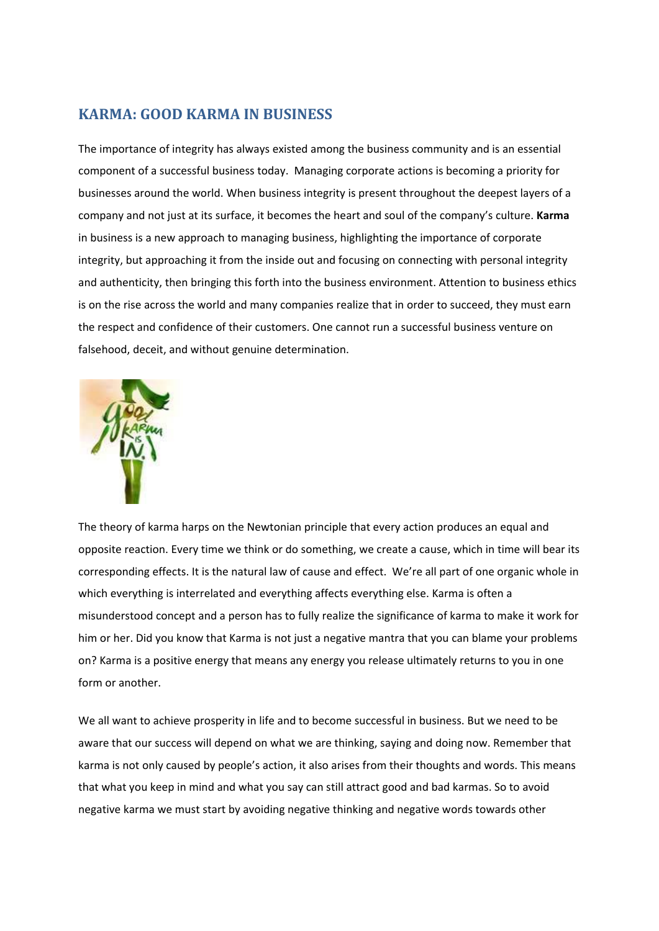## **KARMA: GOOD KARMA IN BUSINESS**

The importance of integrity has always existed among the business community and is an essential component of a successful business today. Managing corporate actions is becoming a priority for businesses around the world. When business integrity is present throughout the deepest layers of a company and not just at its surface, it becomes the heart and soul of the company's culture. **Karma** in business is a new approach to managing business, highlighting the importance of corporate integrity, but approaching it from the inside out and focusing on connecting with personal integrity and authenticity, then bringing this forth into the business environment. Attention to business ethics is on the rise across the world and many companies realize that in order to succeed, they must earn the respect and confidence of their customers. One cannot run a successful business venture on falsehood, deceit, and without genuine determination.



The theory of karma harps on the Newtonian principle that every action produces an equal and opposite reaction. Every time we think or do something, we create a cause, which in time will bear its corresponding effects. It is the natural law of cause and effect. We're all part of one organic whole in which everything is interrelated and everything affects everything else. Karma is often a misunderstood concept and a person has to fully realize the significance of karma to make it work for him or her. Did you know that Karma is not just a negative mantra that you can blame your problems on? Karma is a positive energy that means any energy you release ultimately returns to you in one form or another.

We all want to achieve prosperity in life and to become successful in business. But we need to be aware that our success will depend on what we are thinking, saying and doing now. Remember that karma is not only caused by people's action, it also arises from their thoughts and words. This means that what you keep in mind and what you say can still attract good and bad karmas. So to avoid negative karma we must start by avoiding negative thinking and negative words towards other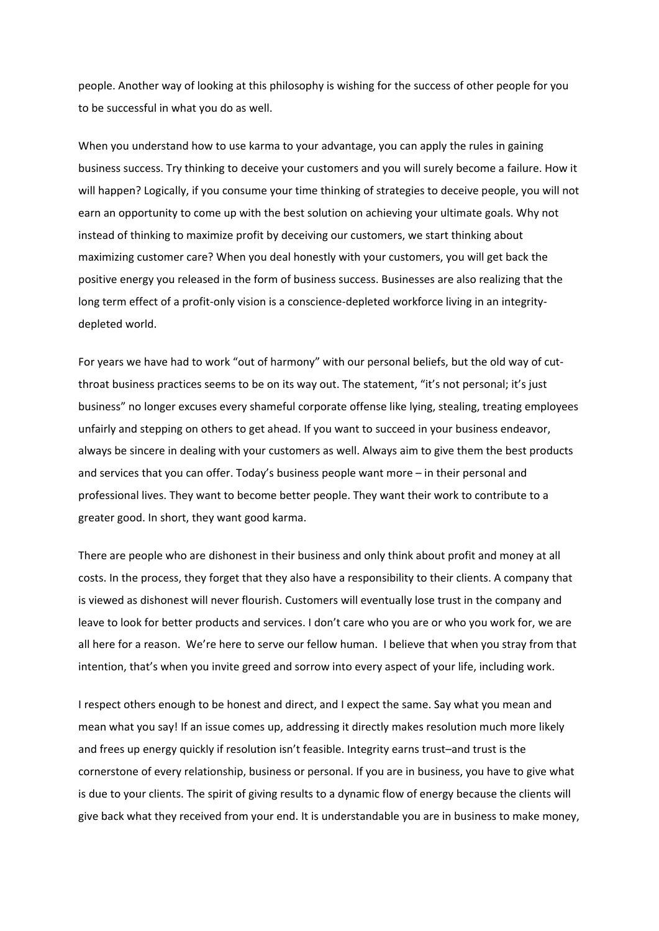people. Another way of looking at this philosophy is wishing for the success of other people for you to be successful in what you do as well.

When you understand how to use karma to your advantage, you can apply the rules in gaining business success. Try thinking to deceive your customers and you will surely become a failure. How it will happen? Logically, if you consume your time thinking of strategies to deceive people, you will not earn an opportunity to come up with the best solution on achieving your ultimate goals. Why not instead of thinking to maximize profit by deceiving our customers, we start thinking about maximizing customer care? When you deal honestly with your customers, you will get back the positive energy you released in the form of business success. Businesses are also realizing that the long term effect of a profit-only vision is a conscience-depleted workforce living in an integritydepleted world.

For years we have had to work "out of harmony" with our personal beliefs, but the old way of cut‐ throat business practices seems to be on its way out. The statement, "it's not personal; it's just business" no longer excuses every shameful corporate offense like lying, stealing, treating employees unfairly and stepping on others to get ahead. If you want to succeed in your business endeavor, always be sincere in dealing with your customers as well. Always aim to give them the best products and services that you can offer. Today's business people want more – in their personal and professional lives. They want to become better people. They want their work to contribute to a greater good. In short, they want good karma.

There are people who are dishonest in their business and only think about profit and money at all costs. In the process, they forget that they also have a responsibility to their clients. A company that is viewed as dishonest will never flourish. Customers will eventually lose trust in the company and leave to look for better products and services. I don't care who you are or who you work for, we are all here for a reason. We're here to serve our fellow human. I believe that when you stray from that intention, that's when you invite greed and sorrow into every aspect of your life, including work.

I respect others enough to be honest and direct, and I expect the same. Say what you mean and mean what you say! If an issue comes up, addressing it directly makes resolution much more likely and frees up energy quickly if resolution isn't feasible. Integrity earns trust–and trust is the cornerstone of every relationship, business or personal. If you are in business, you have to give what is due to your clients. The spirit of giving results to a dynamic flow of energy because the clients will give back what they received from your end. It is understandable you are in business to make money,